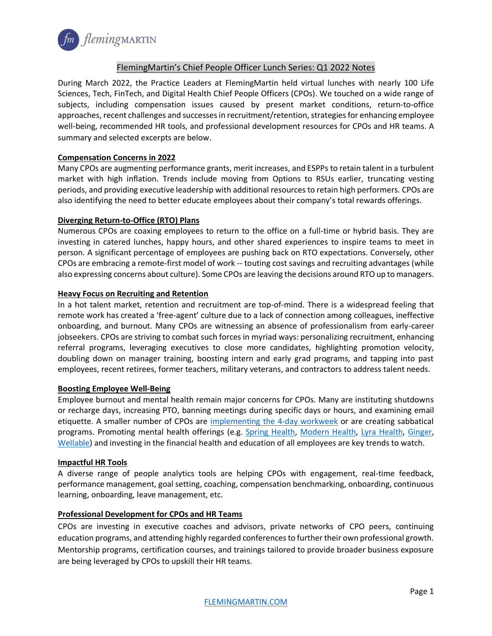

# FlemingMartin's Chief People Officer Lunch Series: Q1 2022 Notes

During March 2022, the Practice Leaders at FlemingMartin held virtual lunches with nearly 100 Life Sciences, Tech, FinTech, and Digital Health Chief People Officers (CPOs). We touched on a wide range of subjects, including compensation issues caused by present market conditions, return-to-office approaches, recent challenges and successes in recruitment/retention, strategies for enhancing employee well-being, recommended HR tools, and professional development resources for CPOs and HR teams. A summary and selected excerpts are below.

## **Compensation Concerns in 2022**

Many CPOs are augmenting performance grants, merit increases, and ESPPs to retain talent in a turbulent market with high inflation. Trends include moving from Options to RSUs earlier, truncating vesting periods, and providing executive leadership with additional resources to retain high performers. CPOs are also identifying the need to better educate employees about their company's total rewards offerings.

## **Diverging Return-to-Office (RTO) Plans**

Numerous CPOs are coaxing employees to return to the office on a full-time or hybrid basis. They are investing in catered lunches, happy hours, and other shared experiences to inspire teams to meet in person. A significant percentage of employees are pushing back on RTO expectations. Conversely, other CPOs are embracing a remote-first model of work -- touting cost savings and recruiting advantages (while also expressing concerns about culture). Some CPOs are leaving the decisions around RTO up to managers.

## **Heavy Focus on Recruiting and Retention**

In a hot talent market, retention and recruitment are top-of-mind. There is a widespread feeling that remote work has created a 'free-agent' culture due to a lack of connection among colleagues, ineffective onboarding, and burnout. Many CPOs are witnessing an absence of professionalism from early-career jobseekers. CPOs are striving to combat such forces in myriad ways: personalizing recruitment, enhancing referral programs, leveraging executives to close more candidates, highlighting promotion velocity, doubling down on manager training, boosting intern and early grad programs, and tapping into past employees, recent retirees, former teachers, military veterans, and contractors to address talent needs.

### **Boosting Employee Well-Being**

Employee burnout and mental health remain major concerns for CPOs. Many are instituting shutdowns or recharge days, increasing PTO, banning meetings during specific days or hours, and examining email etiquette. A smaller number of CPOs are [implementing the 4-day workweek](https://hbr.org/2021/09/a-guide-to-implementing-the-4-day-workweek) or are creating sabbatical programs. Promoting mental health offerings (e.g. [Spring Health,](https://springhealth.com/about/) [Modern Health,](https://www.modernhealth.com/) [Lyra Health,](https://www.lyrahealth.com/) [Ginger,](https://www.ginger.com/) [Wellable\)](https://www.wellable.co/home) and investing in the financial health and education of all employees are key trends to watch.

### **Impactful HR Tools**

A diverse range of people analytics tools are helping CPOs with engagement, real-time feedback, performance management, goal setting, coaching, compensation benchmarking, onboarding, continuous learning, onboarding, leave management, etc.

## **Professional Development for CPOs and HR Teams**

CPOs are investing in executive coaches and advisors, private networks of CPO peers, continuing education programs, and attending highly regarded conferences to further their own professional growth. Mentorship programs, certification courses, and trainings tailored to provide broader business exposure are being leveraged by CPOs to upskill their HR teams.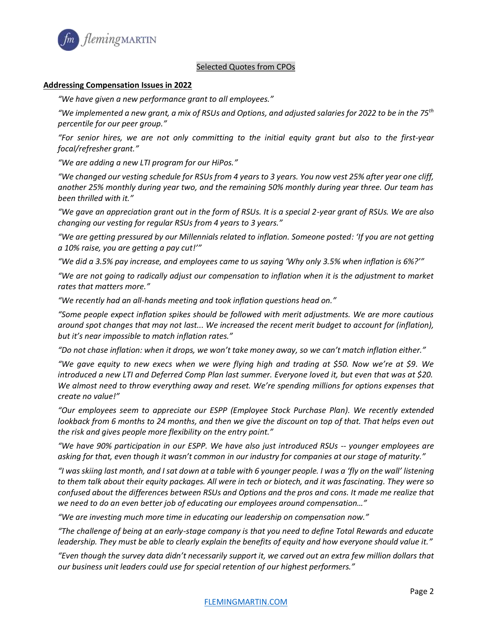

## Selected Quotes from CPOs

#### **Addressing Compensation Issues in 2022**

*"We have given a new performance grant to all employees."*

*"We implemented a new grant, a mix of RSUs and Options, and adjusted salaries for 2022 to be in the 75th percentile for our peer group."*

*"For senior hires, we are not only committing to the initial equity grant but also to the first-year focal/refresher grant."*

*"We are adding a new LTI program for our HiPos."*

*"We changed our vesting schedule for RSUs from 4 years to 3 years. You now vest 25% after year one cliff, another 25% monthly during year two, and the remaining 50% monthly during year three. Our team has been thrilled with it."*

*"We gave an appreciation grant out in the form of RSUs. It is a special 2-year grant of RSUs. We are also changing our vesting for regular RSUs from 4 years to 3 years."*

*"We are getting pressured by our Millennials related to inflation. Someone posted: 'If you are not getting a 10% raise, you are getting a pay cut!'"* 

*"We did a 3.5% pay increase, and employees came to us saying 'Why only 3.5% when inflation is 6%?'"*

*"We are not going to radically adjust our compensation to inflation when it is the adjustment to market rates that matters more."*

*"We recently had an all-hands meeting and took inflation questions head on."*

*"Some people expect inflation spikes should be followed with merit adjustments. We are more cautious around spot changes that may not last... We increased the recent merit budget to account for (inflation), but it's near impossible to match inflation rates."*

*"Do not chase inflation: when it drops, we won't take money away, so we can't match inflation either."*

*"We gave equity to new execs when we were flying high and trading at \$50. Now we're at \$9. We introduced a new LTI and Deferred Comp Plan last summer. Everyone loved it, but even that was at \$20. We almost need to throw everything away and reset. We're spending millions for options expenses that create no value!"*

*"Our employees seem to appreciate our ESPP (Employee Stock Purchase Plan). We recently extended lookback from 6 months to 24 months, and then we give the discount on top of that. That helps even out the risk and gives people more flexibility on the entry point."*

*"We have 90% participation in our ESPP. We have also just introduced RSUs -- younger employees are asking for that, even though it wasn't common in our industry for companies at our stage of maturity."*

*"I was skiing last month, and I sat down at a table with 6 younger people. I was a 'fly on the wall' listening to them talk about their equity packages. All were in tech or biotech, and it was fascinating. They were so confused about the differences between RSUs and Options and the pros and cons. It made me realize that we need to do an even better job of educating our employees around compensation…"*

*"We are investing much more time in educating our leadership on compensation now."* 

*"The challenge of being at an early-stage company is that you need to define Total Rewards and educate leadership. They must be able to clearly explain the benefits of equity and how everyone should value it."*

*"Even though the survey data didn't necessarily support it, we carved out an extra few million dollars that our business unit leaders could use for special retention of our highest performers."*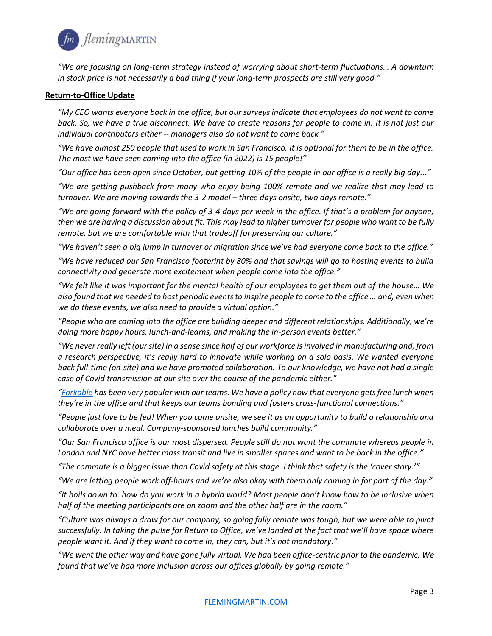

*"We are focusing on long-term strategy instead of worrying about short-term fluctuations… A downturn in stock price is not necessarily a bad thing if your long-term prospects are still very good."*

### **Return-to-Office Update**

*"My CEO wants everyone back in the office, but our surveys indicate that employees do not want to come*  back. So, we have a true disconnect. We have to create reasons for people to come in. It is not just our *individual contributors either -- managers also do not want to come back."*

*"We have almost 250 people that used to work in San Francisco. It is optional for them to be in the office. The most we have seen coming into the office (in 2022) is 15 people!"*

*"Our office has been open since October, but getting 10% of the people in our office is a really big day..."*

*"We are getting pushback from many who enjoy being 100% remote and we realize that may lead to turnover. We are moving towards the 3-2 model – three days onsite, two days remote."*

*"We are going forward with the policy of 3-4 days per week in the office. If that's a problem for anyone, then we are having a discussion about fit. This may lead to higher turnover for people who want to be fully remote, but we are comfortable with that tradeoff for preserving our culture."*

*"We haven't seen a big jump in turnover or migration since we've had everyone come back to the office."*

*"We have reduced our San Francisco footprint by 80% and that savings will go to hosting events to build connectivity and generate more excitement when people come into the office."*

*"We felt like it was important for the mental health of our employees to get them out of the house… We also found that we needed to host periodic events to inspire people to come to the office … and, even when we do these events, we also need to provide a virtual option."*

*"People who are coming into the office are building deeper and different relationships. Additionally, we're doing more happy hours, lunch-and-learns, and making the in-person events better."*

*"We never really left (our site) in a sense since half of our workforce is involved in manufacturing and, from a research perspective, it's really hard to innovate while working on a solo basis. We wanted everyone back full-time (on-site) and we have promoted collaboration. To our knowledge, we have not had a single case of Covid transmission at our site over the course of the pandemic either."*

*"[Forkable](https://forkable.com/) has been very popular with our teams. We have a policy now that everyone gets free lunch when they're in the office and that keeps our teams bonding and fosters cross-functional connections."*

*"People just love to be fed! When you come onsite, we see it as an opportunity to build a relationship and collaborate over a meal. Company-sponsored lunches build community."*

*"Our San Francisco office is our most dispersed. People still do not want the commute whereas people in London and NYC have better mass transit and live in smaller spaces and want to be back in the office."*

*"The commute is a bigger issue than Covid safety at this stage. I think that safety is the 'cover story.'"*

*"We are letting people work off-hours and we're also okay with them only coming in for part of the day."*

*"It boils down to: how do you work in a hybrid world? Most people don't know how to be inclusive when half of the meeting participants are on zoom and the other half are in the room."*

*"Culture was always a draw for our company, so going fully remote was tough, but we were able to pivot successfully. In taking the pulse for Return to Office, we've landed at the fact that we'll have space where people want it. And if they want to come in, they can, but it's not mandatory."*

*"We went the other way and have gone fully virtual. We had been office-centric prior to the pandemic. We found that we've had more inclusion across our offices globally by going remote."*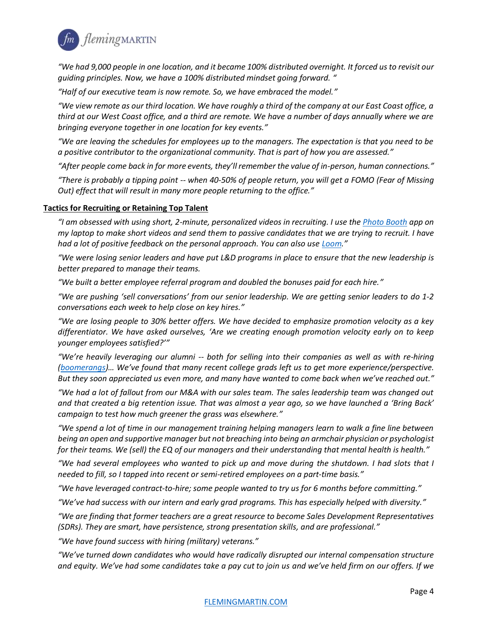

*"We had 9,000 people in one location, and it became 100% distributed overnight. It forced us to revisit our guiding principles. Now, we have a 100% distributed mindset going forward. "*

*"Half of our executive team is now remote. So, we have embraced the model."*

*"We view remote as our third location. We have roughly a third of the company at our East Coast office, a third at our West Coast office, and a third are remote. We have a number of days annually where we are bringing everyone together in one location for key events."*

*"We are leaving the schedules for employees up to the managers. The expectation is that you need to be a positive contributor to the organizational community. That is part of how you are assessed."*

*"After people come back in for more events, they'll remember the value of in-person, human connections."*

*"There is probably a tipping point -- when 40-50% of people return, you will get a FOMO (Fear of Missing Out) effect that will result in many more people returning to the office."*

## **Tactics for Recruiting or Retaining Top Talent**

*"I am obsessed with using short, 2-minute, personalized videos in recruiting. I use th[e Photo Booth](https://apps.apple.com/us/app/photo-booth/id1208226939) app on my laptop to make short videos and send them to passive candidates that we are trying to recruit. I have had a lot of positive feedback on the personal approach. You can also use [Loom.](https://www.loom.com/)"*

*"We were losing senior leaders and have put L&D programs in place to ensure that the new leadership is better prepared to manage their teams.* 

*"We built a better employee referral program and doubled the bonuses paid for each hire."*

*"We are pushing 'sell conversations' from our senior leadership. We are getting senior leaders to do 1-2 conversations each week to help close on key hires."*

*"We are losing people to 30% better offers. We have decided to emphasize promotion velocity as a key differentiator. We have asked ourselves, 'Are we creating enough promotion velocity early on to keep younger employees satisfied?'"*

*"We're heavily leveraging our alumni -- both for selling into their companies as well as with re-hiring [\(boomerangs](https://www.bamboohr.com/hr-glossary/boomerang-employee/))… We've found that many recent college grads left us to get more experience/perspective. But they soon appreciated us even more, and many have wanted to come back when we've reached out."*

*"We had a lot of fallout from our M&A with our sales team. The sales leadership team was changed out and that created a big retention issue. That was almost a year ago, so we have launched a 'Bring Back' campaign to test how much greener the grass was elsewhere."*

*"We spend a lot of time in our management training helping managers learn to walk a fine line between being an open and supportive manager but not breaching into being an armchair physician or psychologist*  for their teams. We (sell) the EQ of our managers and their understanding that mental health is health."

*"We had several employees who wanted to pick up and move during the shutdown. I had slots that I needed to fill, so I tapped into recent or semi-retired employees on a part-time basis."*

*"We have leveraged contract-to-hire; some people wanted to try us for 6 months before committing."* 

*"We've had success with our intern and early grad programs. This has especially helped with diversity."*

*"We are finding that former teachers are a great resource to become Sales Development Representatives (SDRs). They are smart, have persistence, strong presentation skills, and are professional."*

*"We have found success with hiring (military) veterans."*

*"We've turned down candidates who would have radically disrupted our internal compensation structure and equity. We've had some candidates take a pay cut to join us and we've held firm on our offers. If we*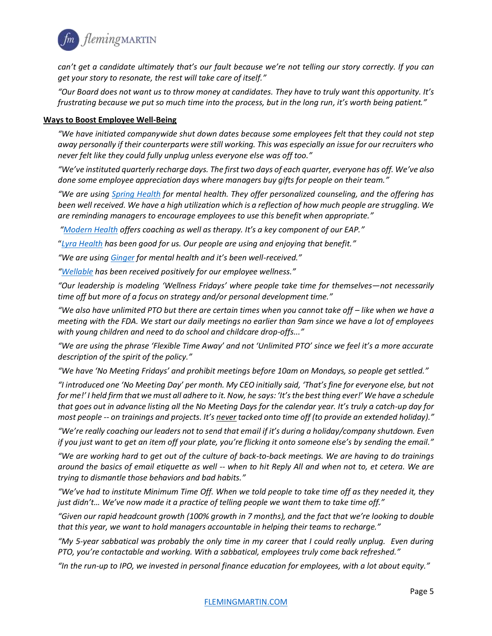

*can't get a candidate ultimately that's our fault because we're not telling our story correctly. If you can get your story to resonate, the rest will take care of itself."*

*"Our Board does not want us to throw money at candidates. They have to truly want this opportunity. It's frustrating because we put so much time into the process, but in the long run, it's worth being patient."*

#### **Ways to Boost Employee Well-Being**

*"We have initiated companywide shut down dates because some employees felt that they could not step away personally if their counterparts were still working. This was especially an issue for our recruiters who never felt like they could fully unplug unless everyone else was off too."*

*"We've instituted quarterly recharge days. The first two days of each quarter, everyone has off. We've also done some employee appreciation days where managers buy gifts for people on their team."*

*"We are using [Spring Health](https://springhealth.com/) for mental health. They offer personalized counseling, and the offering has been well received. We have a high utilization which is a reflection of how much people are struggling. We are reminding managers to encourage employees to use this benefit when appropriate."*

*"[Modern Health](https://www.modernhealth.com/) offers coaching as well as therapy. It's a key component of our EAP."*

"*[Lyra Health](https://www.lyrahealth.com/) has been good for us. Our people are using and enjoying that benefit."*

*"We are using [Ginger](https://www.ginger.com/) for mental health and it's been well-received."*

*"[Wellable](https://www.wellable.co/home) has been received positively for our employee wellness."*

*"Our leadership is modeling 'Wellness Fridays' where people take time for themselves—not necessarily time off but more of a focus on strategy and/or personal development time."*

*"We also have unlimited PTO but there are certain times when you cannot take off – like when we have a meeting with the FDA. We start our daily meetings no earlier than 9am since we have a lot of employees with young children and need to do school and childcare drop-offs..."*

*"We are using the phrase 'Flexible Time Away' and not 'Unlimited PTO' since we feel it's a more accurate description of the spirit of the policy."*

*"We have 'No Meeting Fridays' and prohibit meetings before 10am on Mondays, so people get settled."*

*"I introduced one 'No Meeting Day' per month. My CEO initially said, 'That's fine for everyone else, but not for me!' I held firm that we must all adhere to it. Now, he says: 'It's the best thing ever!' We have a schedule that goes out in advance listing all the No Meeting Days for the calendar year. It's truly a catch-up day for most people -- on trainings and projects. It's never tacked onto time off (to provide an extended holiday)."*

*"We're really coaching our leaders not to send that email if it's during a holiday/company shutdown. Even if you just want to get an item off your plate, you're flicking it onto someone else's by sending the email."*

*"We are working hard to get out of the culture of back-to-back meetings. We are having to do trainings around the basics of email etiquette as well -- when to hit Reply All and when not to, et cetera. We are trying to dismantle those behaviors and bad habits."*

*"We've had to institute Minimum Time Off. When we told people to take time off as they needed it, they just didn't… We've now made it a practice of telling people we want them to take time off."* 

*"Given our rapid headcount growth (100% growth in 7 months), and the fact that we're looking to double*  that this year, we want to hold managers accountable in helping their teams to recharge."

*"My 5-year sabbatical was probably the only time in my career that I could really unplug. Even during PTO, you're contactable and working. With a sabbatical, employees truly come back refreshed."*

*"In the run-up to IPO, we invested in personal finance education for employees, with a lot about equity."*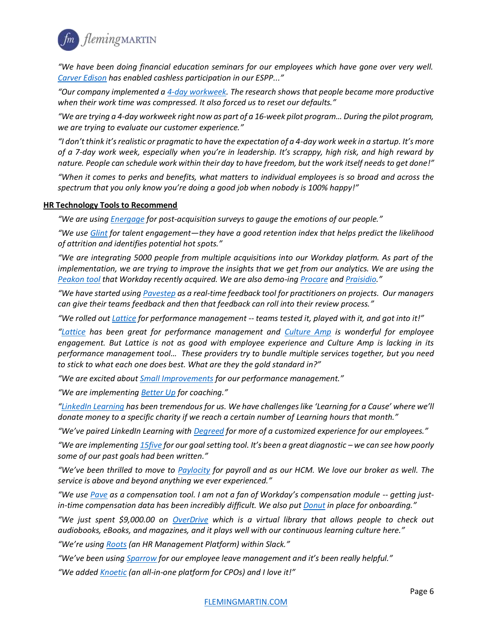

*"We have been doing financial education seminars for our employees which have gone over very well. [Carver Edison](https://www.carveredison.com/) has enabled cashless participation in our ESPP..."*

*"Our company implemented a [4-day workweek.](https://www.fastcompany.com/90653476/kickstarter-ceo-4-day-work-week) The research shows that people became more productive when their work time was compressed. It also forced us to reset our defaults."* 

*"We are trying a 4-day workweek right now as part of a 16-week pilot program… During the pilot program, we are trying to evaluate our customer experience."*

*"I don't think it's realistic or pragmatic to have the expectation of a 4-day work week in a startup. It's more of a 7-day work week, especially when you're in leadership. It's scrappy, high risk, and high reward by nature. People can schedule work within their day to have freedom, but the work itself needs to get done!"*

*"When it comes to perks and benefits, what matters to individual employees is so broad and across the spectrum that you only know you're doing a good job when nobody is 100% happy!"*

## **HR Technology Tools to Recommend**

*"We are usin[g Energage](https://www.energage.com/) for post-acquisition surveys to gauge the emotions of our people."*

*"We use [Glint](https://www.glintinc.com/) for talent engagement—they have a good retention index that helps predict the likelihood of attrition and identifies potential hot spots."*

*"We are integrating 5000 people from multiple acquisitions into our Workday platform. As part of the implementation, we are trying to improve the insights that we get from our analytics. We are using the [Peakon tool](https://www.workday.com/en-us/products/employee-voice/overview.html) that Workday recently acquired. We are also demo-ing [Procare](https://www.procaresoftware.com/) and [Praisidio.](https://www.praisidio.com/)"*

*"We have started using [Pavestep a](https://www.pavestep.com/)s a real-time feedback tool for practitioners on projects. Our managers can give their teams feedback and then that feedback can roll into their review process."*

*"We rolled ou[t Lattice f](https://lattice.com/)or performance management -- teams tested it, played with it, and got into it!"* 

*"[Lattice](https://ppl.lattice.com/products) has been great for performance management and [Culture Amp](https://www.cultureamp.com/) is wonderful for employee engagement. But Lattice is not as good with employee experience and Culture Amp is lacking in its performance management tool… These providers try to bundle multiple services together, but you need to stick to what each one does best. What are they the gold standard in?"*

*"We are excited about [Small Improvements](https://www.small-improvements.com/) for our performance management."*

*"We are implementing [Better Up](https://www.betterup.com/) for coaching."*

*"[LinkedIn Learning](https://www.linkedin.com/learning/) has been tremendous for us. We have challenges like 'Learning for a Cause' where we'll donate money to a specific charity if we reach a certain number of Learning hours that month."*

*"We've paired LinkedIn Learning with [Degreed](https://degreed.com/) for more of a customized experience for our employees."*

*"We are implementing [15five](https://www.15five.com/) for our goal setting tool. It's been a great diagnostic – we can see how poorly some of our past goals had been written."*

*"We've been thrilled to move to [Paylocity](https://www.paylocity.com/) for payroll and as our HCM. We love our broker as well. The service is above and beyond anything we ever experienced."*

*"We use [Pave](https://www.pave.com/) as a compensation tool. I am not a fan of Workday's compensation module -- getting justin-time compensation data has been incredibly difficult. We also pu[t Donut](https://www.donut.com/) in place for onboarding."*

*"We just spent \$9,000.00 on [OverDrive](https://www.overdrive.com/) which is a virtual library that allows people to check out audiobooks, eBooks, and magazines, and it plays well with our continuous learning culture here."*

*"We're using [Roots](https://www.tryroots.io/?ref=google) (an HR Management Platform) within Slack."*

*"We've been using [Sparrow](https://trysparrow.com/) for our employee leave management and it's been really helpful."*

*"We adde[d Knoetic](https://www.knoetic.com/) (an all-in-one platform for CPOs) and I love it!"*